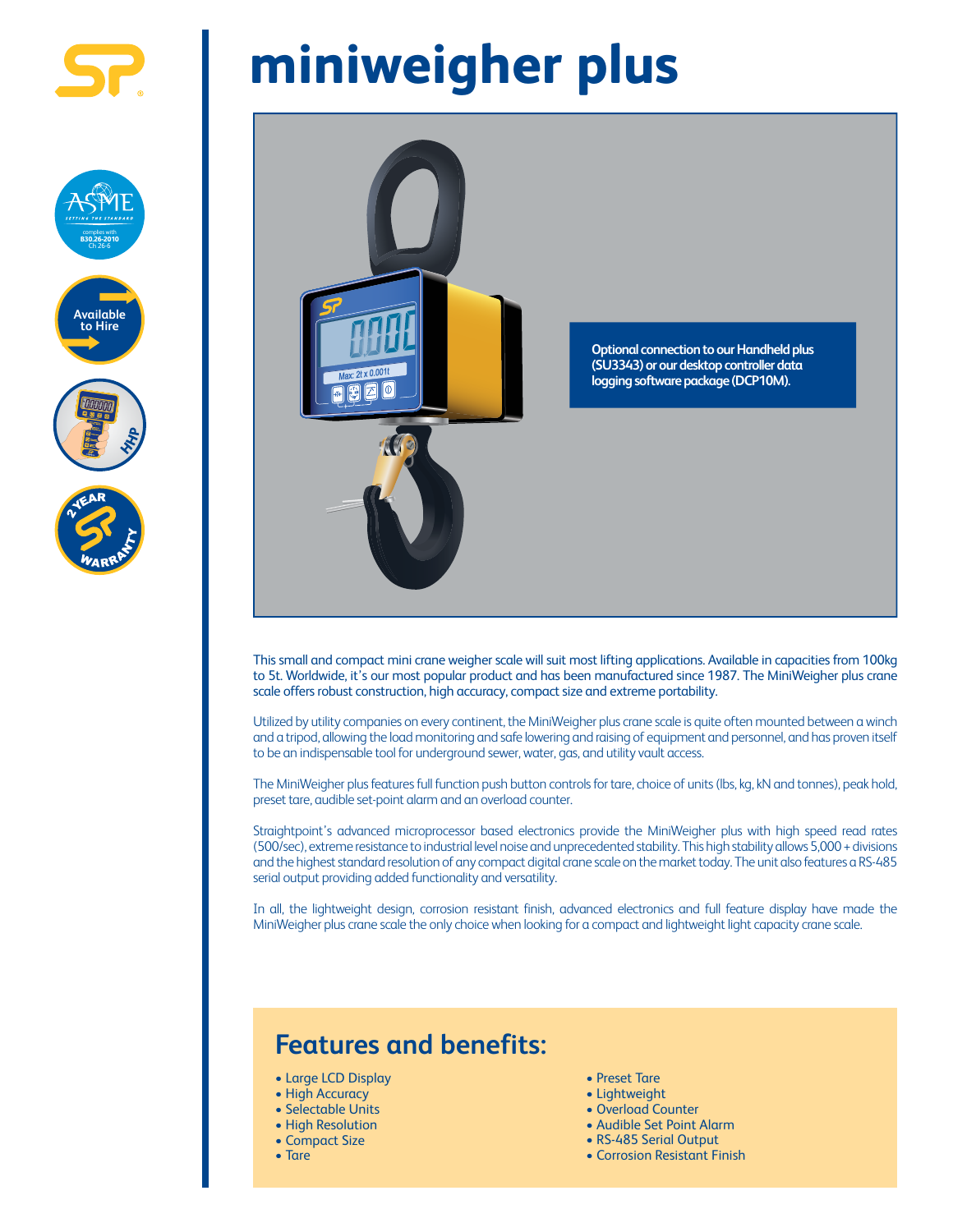

complies with **B30.26-2010** Ch 26-6

**Available to Hire**

## **miniweigher plus**



This small and compact mini crane weigher scale will suit most lifting applications. Available in capacities from 100kg to 5t. Worldwide, it's our most popular product and has been manufactured since 1987. The MiniWeigher plus crane scale offers robust construction, high accuracy, compact size and extreme portability.

Utilized by utility companies on every continent, the MiniWeigher plus crane scale is quite often mounted between a winch and a tripod, allowing the load monitoring and safe lowering and raising of equipment and personnel, and has proven itself to be an indispensable tool for underground sewer, water, gas, and utility vault access.

The MiniWeigher plus features full function push button controls for tare, choice of units (lbs, kg, kN and tonnes), peak hold, preset tare, audible set-point alarm and an overload counter.

Straightpoint's advanced microprocessor based electronics provide the MiniWeigher plus with high speed read rates (500/sec), extreme resistance to industrial level noise and unprecedented stability. This high stability allows 5,000 + divisions and the highest standard resolution of any compact digital crane scale on the market today. The unit also features a RS-485 serial output providing added functionality and versatility.

In all, the lightweight design, corrosion resistant finish, advanced electronics and full feature display have made the MiniWeigher plus crane scale the only choice when looking for a compact and lightweight light capacity crane scale.

## **Features and benefits:**

- Large LCD Display
- High Accuracy
- Selectable Units
- High Resolution
- Compact Size
- Tare
- Preset Tare
- Lightweight
- Overload Counter
- Audible Set Point Alarm
- RS-485 Serial Output
- Corrosion Resistant Finish